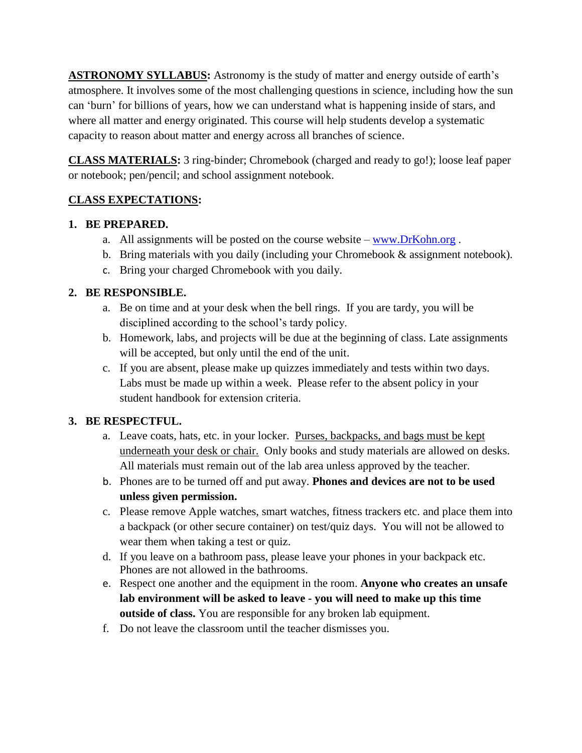**ASTRONOMY SYLLABUS:** Astronomy is the study of matter and energy outside of earth's atmosphere. It involves some of the most challenging questions in science, including how the sun can 'burn' for billions of years, how we can understand what is happening inside of stars, and where all matter and energy originated. This course will help students develop a systematic capacity to reason about matter and energy across all branches of science.

**CLASS MATERIALS:** 3 ring-binder; Chromebook (charged and ready to go!); loose leaf paper or notebook; pen/pencil; and school assignment notebook.

# **CLASS EXPECTATIONS:**

### **1. BE PREPARED.**

- a. All assignments will be posted on the course website  $-\frac{www.DrKohn.org}{m}$  $-\frac{www.DrKohn.org}{m}$  $-\frac{www.DrKohn.org}{m}$ .
- b. Bring materials with you daily (including your Chromebook & assignment notebook).
- c. Bring your charged Chromebook with you daily.

# **2. BE RESPONSIBLE.**

- a. Be on time and at your desk when the bell rings. If you are tardy, you will be disciplined according to the school's tardy policy.
- b. Homework, labs, and projects will be due at the beginning of class. Late assignments will be accepted, but only until the end of the unit.
- c. If you are absent, please make up quizzes immediately and tests within two days. Labs must be made up within a week. Please refer to the absent policy in your student handbook for extension criteria.

### **3. BE RESPECTFUL.**

- a. Leave coats, hats, etc. in your locker. Purses, backpacks, and bags must be kept underneath your desk or chair. Only books and study materials are allowed on desks. All materials must remain out of the lab area unless approved by the teacher.
- b. Phones are to be turned off and put away. **Phones and devices are not to be used unless given permission.**
- c. Please remove Apple watches, smart watches, fitness trackers etc. and place them into a backpack (or other secure container) on test/quiz days. You will not be allowed to wear them when taking a test or quiz.
- d. If you leave on a bathroom pass, please leave your phones in your backpack etc. Phones are not allowed in the bathrooms.
- e. Respect one another and the equipment in the room. **Anyone who creates an unsafe lab environment will be asked to leave - you will need to make up this time outside of class.** You are responsible for any broken lab equipment.
- f. Do not leave the classroom until the teacher dismisses you.